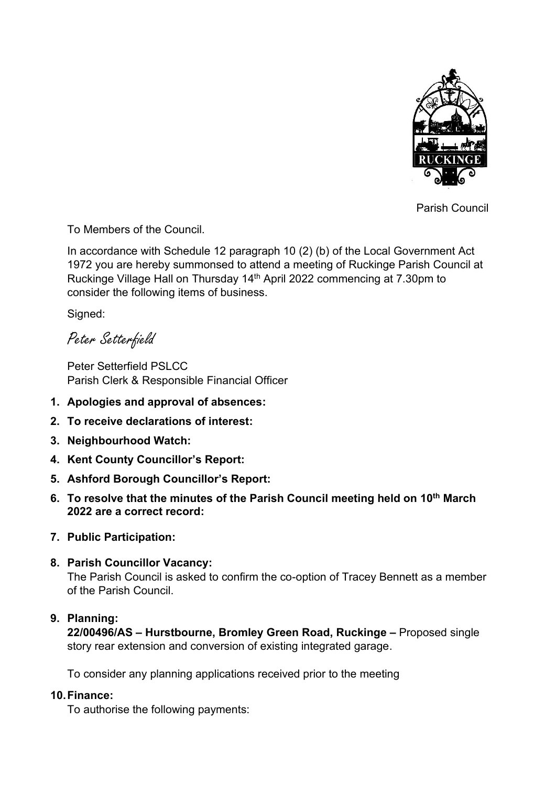

Parish Council

To Members of the Council.

In accordance with Schedule 12 paragraph 10 (2) (b) of the Local Government Act 1972 you are hereby summonsed to attend a meeting of Ruckinge Parish Council at Ruckinge Village Hall on Thursday 14<sup>th</sup> April 2022 commencing at 7.30pm to consider the following items of business.

Signed:

Peter Setterfield

Peter Setterfield PSLCC Parish Clerk & Responsible Financial Officer

- **1. Apologies and approval of absences:**
- **2. To receive declarations of interest:**
- **3. Neighbourhood Watch:**
- **4. Kent County Councillor's Report:**
- **5. Ashford Borough Councillor's Report:**
- **6. To resolve that the minutes of the Parish Council meeting held on 10th March 2022 are a correct record:**
- **7. Public Participation:**
- **8. Parish Councillor Vacancy:**

The Parish Council is asked to confirm the co-option of Tracey Bennett as a member of the Parish Council.

# **9. Planning:**

**22/00496/AS – Hurstbourne, Bromley Green Road, Ruckinge –** Proposed single story rear extension and conversion of existing integrated garage.

To consider any planning applications received prior to the meeting

# **10.Finance:**

To authorise the following payments: